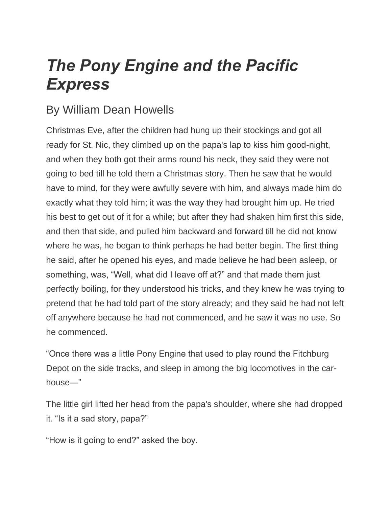## *The Pony Engine and the Pacific Express*

## By William Dean Howells

Christmas Eve, after the children had hung up their stockings and got all ready for St. Nic, they climbed up on the papa's lap to kiss him good-night, and when they both got their arms round his neck, they said they were not going to bed till he told them a Christmas story. Then he saw that he would have to mind, for they were awfully severe with him, and always made him do exactly what they told him; it was the way they had brought him up. He tried his best to get out of it for a while; but after they had shaken him first this side, and then that side, and pulled him backward and forward till he did not know where he was, he began to think perhaps he had better begin. The first thing he said, after he opened his eyes, and made believe he had been asleep, or something, was, "Well, what did I leave off at?" and that made them just perfectly boiling, for they understood his tricks, and they knew he was trying to pretend that he had told part of the story already; and they said he had not left off anywhere because he had not commenced, and he saw it was no use. So he commenced.

"Once there was a little Pony Engine that used to play round the Fitchburg Depot on the side tracks, and sleep in among the big locomotives in the carhouse—"

The little girl lifted her head from the papa's shoulder, where she had dropped it. "Is it a sad story, papa?"

"How is it going to end?" asked the boy.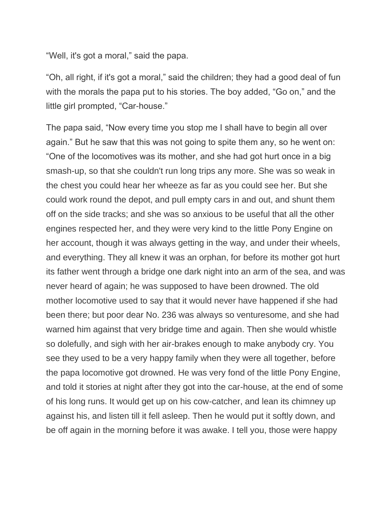"Well, it's got a moral," said the papa.

"Oh, all right, if it's got a moral," said the children; they had a good deal of fun with the morals the papa put to his stories. The boy added, "Go on," and the little girl prompted, "Car-house."

The papa said, "Now every time you stop me I shall have to begin all over again." But he saw that this was not going to spite them any, so he went on: "One of the locomotives was its mother, and she had got hurt once in a big smash-up, so that she couldn't run long trips any more. She was so weak in the chest you could hear her wheeze as far as you could see her. But she could work round the depot, and pull empty cars in and out, and shunt them off on the side tracks; and she was so anxious to be useful that all the other engines respected her, and they were very kind to the little Pony Engine on her account, though it was always getting in the way, and under their wheels, and everything. They all knew it was an orphan, for before its mother got hurt its father went through a bridge one dark night into an arm of the sea, and was never heard of again; he was supposed to have been drowned. The old mother locomotive used to say that it would never have happened if she had been there; but poor dear No. 236 was always so venturesome, and she had warned him against that very bridge time and again. Then she would whistle so dolefully, and sigh with her air-brakes enough to make anybody cry. You see they used to be a very happy family when they were all together, before the papa locomotive got drowned. He was very fond of the little Pony Engine, and told it stories at night after they got into the car-house, at the end of some of his long runs. It would get up on his cow-catcher, and lean its chimney up against his, and listen till it fell asleep. Then he would put it softly down, and be off again in the morning before it was awake. I tell you, those were happy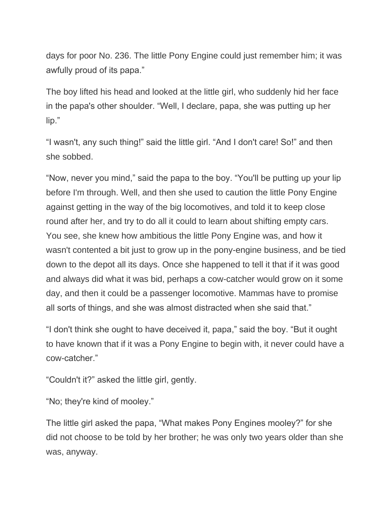days for poor No. 236. The little Pony Engine could just remember him; it was awfully proud of its papa."

The boy lifted his head and looked at the little girl, who suddenly hid her face in the papa's other shoulder. "Well, I declare, papa, she was putting up her lip."

"I wasn't, any such thing!" said the little girl. "And I don't care! So!" and then she sobbed.

"Now, never you mind," said the papa to the boy. "You'll be putting up your lip before I'm through. Well, and then she used to caution the little Pony Engine against getting in the way of the big locomotives, and told it to keep close round after her, and try to do all it could to learn about shifting empty cars. You see, she knew how ambitious the little Pony Engine was, and how it wasn't contented a bit just to grow up in the pony-engine business, and be tied down to the depot all its days. Once she happened to tell it that if it was good and always did what it was bid, perhaps a cow-catcher would grow on it some day, and then it could be a passenger locomotive. Mammas have to promise all sorts of things, and she was almost distracted when she said that."

"I don't think she ought to have deceived it, papa," said the boy. "But it ought to have known that if it was a Pony Engine to begin with, it never could have a cow-catcher."

"Couldn't it?" asked the little girl, gently.

"No; they're kind of mooley."

The little girl asked the papa, "What makes Pony Engines mooley?" for she did not choose to be told by her brother; he was only two years older than she was, anyway.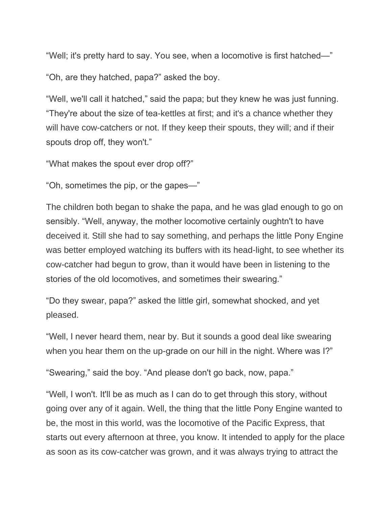"Well; it's pretty hard to say. You see, when a locomotive is first hatched—"

"Oh, are they hatched, papa?" asked the boy.

"Well, we'll call it hatched," said the papa; but they knew he was just funning. "They're about the size of tea-kettles at first; and it's a chance whether they will have cow-catchers or not. If they keep their spouts, they will; and if their spouts drop off, they won't."

"What makes the spout ever drop off?"

"Oh, sometimes the pip, or the gapes—"

The children both began to shake the papa, and he was glad enough to go on sensibly. "Well, anyway, the mother locomotive certainly oughtn't to have deceived it. Still she had to say something, and perhaps the little Pony Engine was better employed watching its buffers with its head-light, to see whether its cow-catcher had begun to grow, than it would have been in listening to the stories of the old locomotives, and sometimes their swearing."

"Do they swear, papa?" asked the little girl, somewhat shocked, and yet pleased.

"Well, I never heard them, near by. But it sounds a good deal like swearing when you hear them on the up-grade on our hill in the night. Where was I?"

"Swearing," said the boy. "And please don't go back, now, papa."

"Well, I won't. It'll be as much as I can do to get through this story, without going over any of it again. Well, the thing that the little Pony Engine wanted to be, the most in this world, was the locomotive of the Pacific Express, that starts out every afternoon at three, you know. It intended to apply for the place as soon as its cow-catcher was grown, and it was always trying to attract the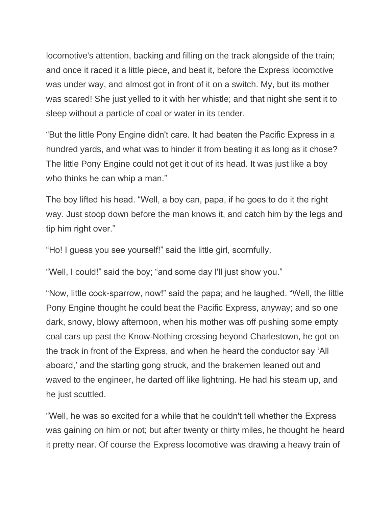locomotive's attention, backing and filling on the track alongside of the train; and once it raced it a little piece, and beat it, before the Express locomotive was under way, and almost got in front of it on a switch. My, but its mother was scared! She just yelled to it with her whistle; and that night she sent it to sleep without a particle of coal or water in its tender.

"But the little Pony Engine didn't care. It had beaten the Pacific Express in a hundred yards, and what was to hinder it from beating it as long as it chose? The little Pony Engine could not get it out of its head. It was just like a boy who thinks he can whip a man."

The boy lifted his head. "Well, a boy can, papa, if he goes to do it the right way. Just stoop down before the man knows it, and catch him by the legs and tip him right over."

"Ho! I guess you see yourself!" said the little girl, scornfully.

"Well, I could!" said the boy; "and some day I'll just show you."

"Now, little cock-sparrow, now!" said the papa; and he laughed. "Well, the little Pony Engine thought he could beat the Pacific Express, anyway; and so one dark, snowy, blowy afternoon, when his mother was off pushing some empty coal cars up past the Know-Nothing crossing beyond Charlestown, he got on the track in front of the Express, and when he heard the conductor say 'All aboard,' and the starting gong struck, and the brakemen leaned out and waved to the engineer, he darted off like lightning. He had his steam up, and he just scuttled.

"Well, he was so excited for a while that he couldn't tell whether the Express was gaining on him or not; but after twenty or thirty miles, he thought he heard it pretty near. Of course the Express locomotive was drawing a heavy train of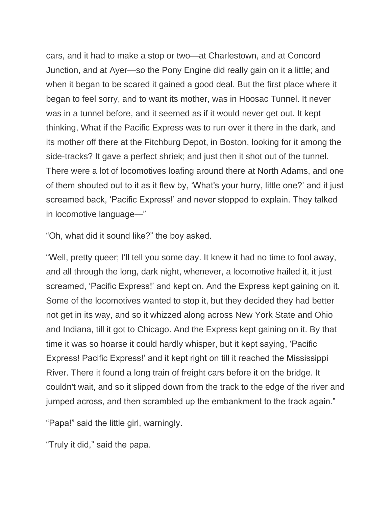cars, and it had to make a stop or two—at Charlestown, and at Concord Junction, and at Ayer—so the Pony Engine did really gain on it a little; and when it began to be scared it gained a good deal. But the first place where it began to feel sorry, and to want its mother, was in Hoosac Tunnel. It never was in a tunnel before, and it seemed as if it would never get out. It kept thinking, What if the Pacific Express was to run over it there in the dark, and its mother off there at the Fitchburg Depot, in Boston, looking for it among the side-tracks? It gave a perfect shriek; and just then it shot out of the tunnel. There were a lot of locomotives loafing around there at North Adams, and one of them shouted out to it as it flew by, 'What's your hurry, little one?' and it just screamed back, 'Pacific Express!' and never stopped to explain. They talked in locomotive language—"

"Oh, what did it sound like?" the boy asked.

"Well, pretty queer; I'll tell you some day. It knew it had no time to fool away, and all through the long, dark night, whenever, a locomotive hailed it, it just screamed, 'Pacific Express!' and kept on. And the Express kept gaining on it. Some of the locomotives wanted to stop it, but they decided they had better not get in its way, and so it whizzed along across New York State and Ohio and Indiana, till it got to Chicago. And the Express kept gaining on it. By that time it was so hoarse it could hardly whisper, but it kept saying, 'Pacific Express! Pacific Express!' and it kept right on till it reached the Mississippi River. There it found a long train of freight cars before it on the bridge. It couldn't wait, and so it slipped down from the track to the edge of the river and jumped across, and then scrambled up the embankment to the track again."

"Papa!" said the little girl, warningly.

"Truly it did," said the papa.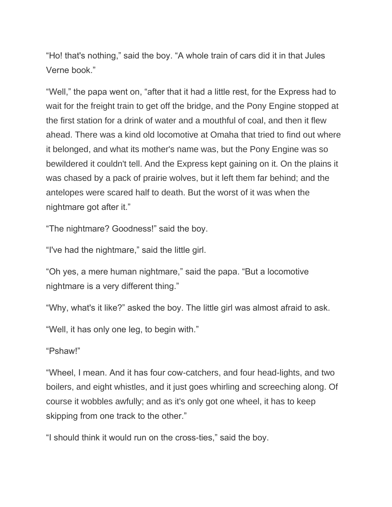"Ho! that's nothing," said the boy. "A whole train of cars did it in that Jules Verne book."

"Well," the papa went on, "after that it had a little rest, for the Express had to wait for the freight train to get off the bridge, and the Pony Engine stopped at the first station for a drink of water and a mouthful of coal, and then it flew ahead. There was a kind old locomotive at Omaha that tried to find out where it belonged, and what its mother's name was, but the Pony Engine was so bewildered it couldn't tell. And the Express kept gaining on it. On the plains it was chased by a pack of prairie wolves, but it left them far behind; and the antelopes were scared half to death. But the worst of it was when the nightmare got after it."

"The nightmare? Goodness!" said the boy.

"I've had the nightmare," said the little girl.

"Oh yes, a mere human nightmare," said the papa. "But a locomotive nightmare is a very different thing."

"Why, what's it like?" asked the boy. The little girl was almost afraid to ask.

"Well, it has only one leg, to begin with."

## "Pshaw!"

"Wheel, I mean. And it has four cow-catchers, and four head-lights, and two boilers, and eight whistles, and it just goes whirling and screeching along. Of course it wobbles awfully; and as it's only got one wheel, it has to keep skipping from one track to the other."

"I should think it would run on the cross-ties," said the boy.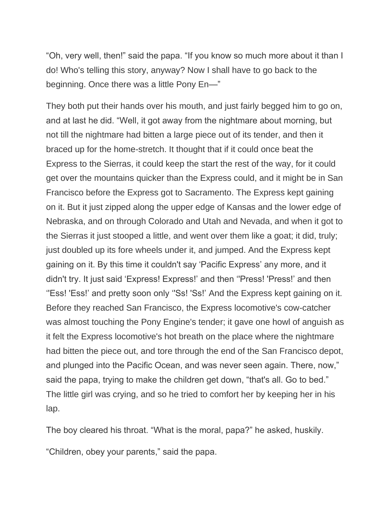"Oh, very well, then!" said the papa. "If you know so much more about it than I do! Who's telling this story, anyway? Now I shall have to go back to the beginning. Once there was a little Pony En—"

They both put their hands over his mouth, and just fairly begged him to go on, and at last he did. "Well, it got away from the nightmare about morning, but not till the nightmare had bitten a large piece out of its tender, and then it braced up for the home-stretch. It thought that if it could once beat the Express to the Sierras, it could keep the start the rest of the way, for it could get over the mountains quicker than the Express could, and it might be in San Francisco before the Express got to Sacramento. The Express kept gaining on it. But it just zipped along the upper edge of Kansas and the lower edge of Nebraska, and on through Colorado and Utah and Nevada, and when it got to the Sierras it just stooped a little, and went over them like a goat; it did, truly; just doubled up its fore wheels under it, and jumped. And the Express kept gaining on it. By this time it couldn't say 'Pacific Express' any more, and it didn't try. It just said 'Express! Express!' and then ''Press! 'Press!' and then ''Ess! 'Ess!' and pretty soon only ''Ss! 'Ss!' And the Express kept gaining on it. Before they reached San Francisco, the Express locomotive's cow-catcher was almost touching the Pony Engine's tender; it gave one howl of anguish as it felt the Express locomotive's hot breath on the place where the nightmare had bitten the piece out, and tore through the end of the San Francisco depot, and plunged into the Pacific Ocean, and was never seen again. There, now," said the papa, trying to make the children get down, "that's all. Go to bed." The little girl was crying, and so he tried to comfort her by keeping her in his lap.

The boy cleared his throat. "What is the moral, papa?" he asked, huskily.

"Children, obey your parents," said the papa.